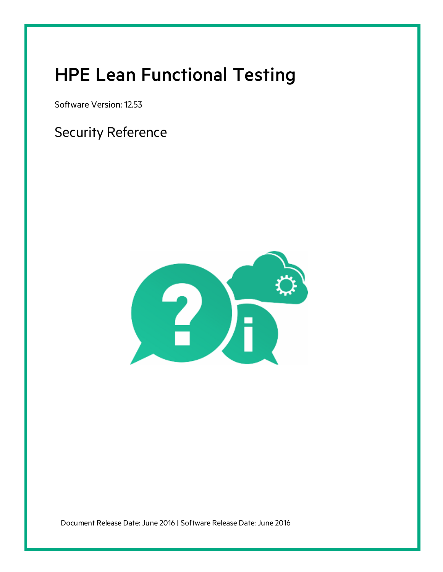# HPE Lean Functional Testing

Software Version: 12.53

Security Reference



Document Release Date: June 2016 | Software Release Date: June 2016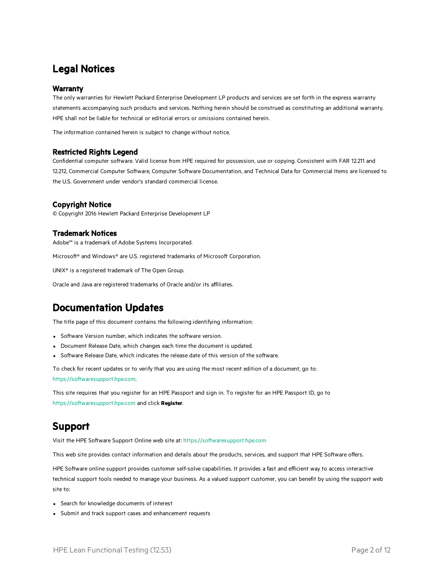#### Legal Notices

#### **Warranty**

The only warranties for Hewlett Packard Enterprise Development LP products and services are set forth in the express warranty statements accompanying such products and services. Nothing herein should be construed as constituting an additional warranty. HPE shall not be liable for technical or editorial errors or omissions contained herein.

The information contained herein is subject to change without notice.

#### Restricted Rights Legend

Confidential computer software. Valid license from HPE required for possession, use or copying. Consistent with FAR 12.211 and 12.212, Commercial Computer Software, Computer Software Documentation, and Technical Data for Commercial Items are licensed to the U.S. Government under vendor's standard commercial license.

#### Copyright Notice

© Copyright 2016 Hewlett Packard Enterprise Development LP

#### Trademark Notices

Adobe™ is a trademark of Adobe Systems Incorporated.

Microsoft® and Windows® are U.S. registered trademarks of Microsoft Corporation.

UNIX® is a registered trademark of The Open Group.

Oracle and Java are registered trademarks of Oracle and/or its affiliates.

#### Documentation Updates

The title page of this document contains the following identifying information:

- Software Version number, which indicates the software version.
- Document Release Date, which changes each time the document is updated.
- Software Release Date, which indicates the release date of this version of the software.

To check for recent updates or to verify that you are using the most recent edition of a document, go to: [https://softwaresupport.hpe.com.](https://softwaresupport.hpe.com/)

This site requires that you register for an HPE Passport and sign in. To register for an HPE Passport ID, go to [https://softwaresupport.hpe.com](https://softwaresupport.hpe.com/) and click **Register**.

#### Support

Visit the HPE Software Support Online web site at: [https://softwaresupport.hpe.com](https://softwaresupport.hpe.com/)

This web site provides contact information and details about the products, services, and support that HPE Software offers.

HPE Software online support provides customer self-solve capabilities. It provides a fast and efficient way to access interactive technical support tools needed to manage your business. As a valued support customer, you can benefit by using the support web site to:

- Search for knowledge documents of interest
- Submit and track support cases and enhancement requests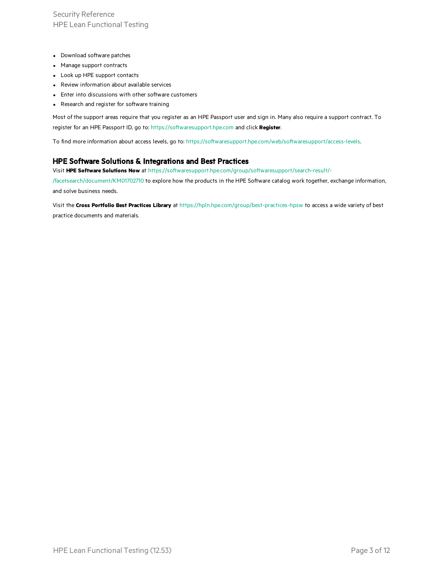Security Reference HPE Lean Functional Testing

- Download software patches
- Manage support contracts
- Look up HPE support contacts
- Review information about available services
- Enter into discussions with other software customers
- Research and register for software training

Most of the support areas require that you register as an HPE Passport user and sign in. Many also require a support contract. To register for an HPE Passport ID, go to: [https://softwaresupport.hpe.com](https://softwaresupport.hpe.com/) and click **Register**.

To find more information about access levels, go to: <https://softwaresupport.hpe.com/web/softwaresupport/access-levels>.

#### HPE Software Solutions & Integrations and Best Practices

Visit **HPE Software Solutions Now** at [https://softwaresupport.hpe.com/group/softwaresupport/search-result/-](https://softwaresupport.hpe.com/group/softwaresupport/search-result/-/facetsearch/document/KM01702710)

[/facetsearch/document/KM01702710](https://softwaresupport.hpe.com/group/softwaresupport/search-result/-/facetsearch/document/KM01702710) to explore how the products in the HPE Software catalog work together, exchange information, and solve business needs.

Visit the **Cross Portfolio Best Practices Library** at <https://hpln.hpe.com/group/best-practices-hpsw> to access a wide variety of best practice documents and materials.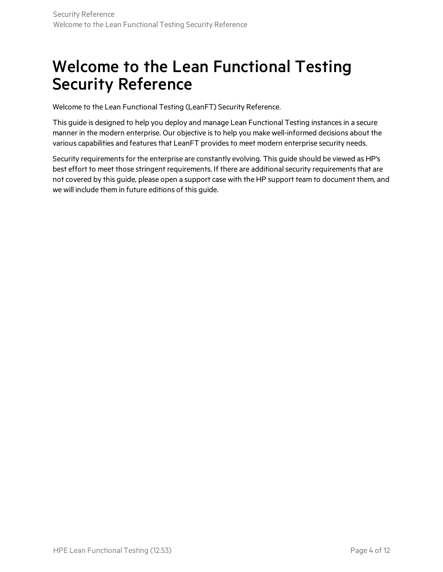### Welcome to the Lean Functional Testing Security Reference

Welcome to the Lean Functional Testing (LeanFT) Security Reference.

This guide is designed to help you deploy and manage Lean Functional Testing instancesin a secure manner in the modern enterprise. Our objective is to help you make well-informed decisions about the various capabilities and features that LeanFT provides to meet modern enterprise security needs.

Security requirements for the enterprise are constantly evolving. This guide should be viewed as HP's best effort to meet those stringent requirements. If there are additional security requirements that are not covered by this guide, please open a support case with the HP support team to document them, and we will include them in future editions of this guide.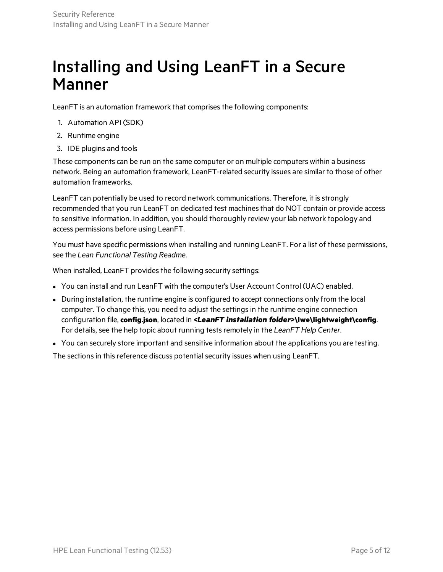### Installing and Using LeanFT in a Secure Manner

LeanFT is an automation framework that comprises the following components:

- 1. Automation API (SDK)
- 2. Runtime engine
- 3. IDE plugins and tools

These components can be run on the same computer or on multiple computers within a business network. Being an automation framework, LeanFT-related security issues are similar to those of other automation frameworks.

LeanFT can potentially be used to record network communications. Therefore, it is strongly recommended that you run LeanFT on dedicated test machines that do NOT contain or provide access to sensitive information. In addition, you should thoroughly review your lab network topology and access permissions before using LeanFT.

You must have specific permissions when installing and running LeanFT. For a list of these permissions, see the *Lean Functional Testing Readme*.

When installed, LeanFT provides the following security settings:

- You can install and run LeanFT with the computer's User Account Control (UAC) enabled.
- During installation, the runtime engine is configured to accept connections only from the local computer. To change this, you need to adjust the settingsin the runtime engine connection configuration file, **config.json**, located in *<LeanFT installation folder>***\lwe\lightweight\config**. For details, see the help topic about running testsremotely in the *LeanFT Help Center*.
- You can securely store important and sensitive information about the applications you are testing.

The sections in this reference discuss potential security issues when using LeanFT.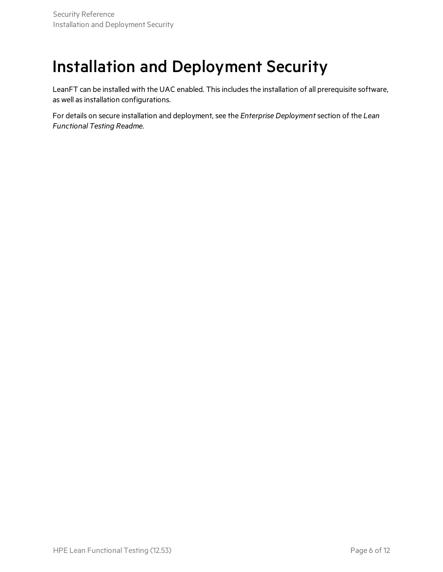## Installation and Deployment Security

LeanFT can be installed with the UAC enabled. This includes the installation of all prerequisite software, as well as installation configurations.

For details on secure installation and deployment, see the *Enterprise Deployment*section of the *Lean Functional Testing Readme*.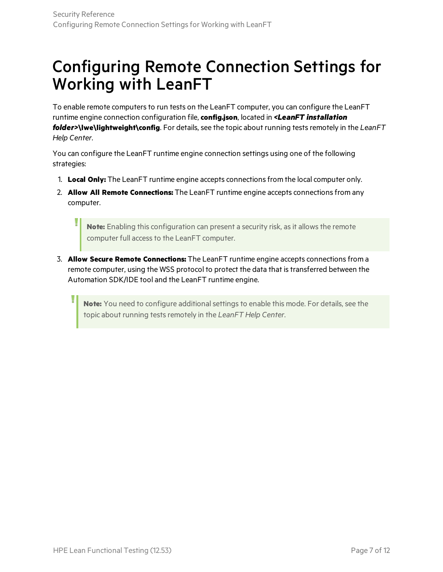## Configuring Remote Connection Settings for Working with LeanFT

To enable remote computers to run tests on the LeanFT computer, you can configure the LeanFT runtime engine connection configuration file, **config.json**, located in *<LeanFT installation folder>***\lwe\lightweight\config**. For details, see the topic about running tests remotely in the LeanFT *Help Center*.

You can configure the LeanFT runtime engine connection settings using one of the following strategies:

- 1. **Local Only:** The LeanFT runtime engine accepts connectionsfrom the local computer only.
- 2. **Allow All Remote Connections:** The LeanFT runtime engine accepts connectionsfrom any computer.

Note: Enabling this configuration can present a security risk, as it allows the remote computer full access to the LeanFT computer.

3. **Allow Secure Remote Connections:** The LeanFT runtime engine accepts connectionsfrom a remote computer, using the WSS protocol to protect the data that is transferred between the Automation SDK/IDE tool and the LeanFT runtime engine.

Note: You need to configure additional settings to enable this mode. For details, see the topic about running testsremotely in the *LeanFT Help Center*.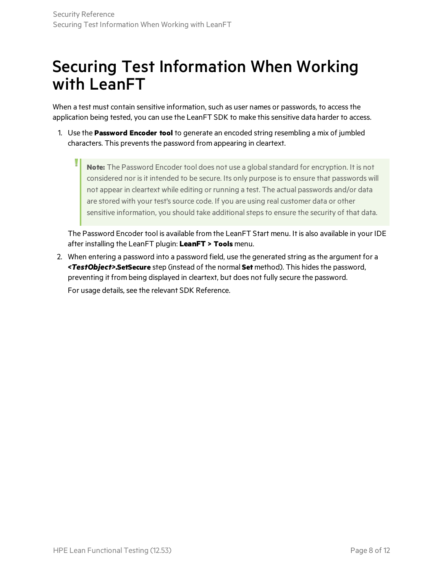## Securing Test Information When Working with LeanFT

When a test must contain sensitive information, such as user names or passwords, to access the application being tested, you can use the LeanFT SDK to make this sensitive data harder to access.

1. Use the **Password Encoder tool** to generate an encoded string resembling a mix of jumbled characters. This prevents the password from appearing in cleartext.

**Note:** The Password Encoder tool does not use a globalstandard for encryption. It is not considered nor is it intended to be secure. Its only purpose is to ensure that passwords will not appear in cleartext while editing or running a test. The actual passwords and/or data are stored with your test's source code. If you are using real customer data or other sensitive information, you should take additional steps to ensure the security of that data.

The Password Encoder tool is available from the LeanFT Start menu. It is also available in your IDE after installing the LeanFT plugin: **LeanFT > Tools** menu.

2. When entering a password into a password field, use the generated string asthe argument for a *<TestObject>***.SetSecure** step (instead of the normal **Set** method). This hidesthe password, preventing it from being displayed in cleartext, but does not fully secure the password.

For usage details, see the relevant SDK Reference.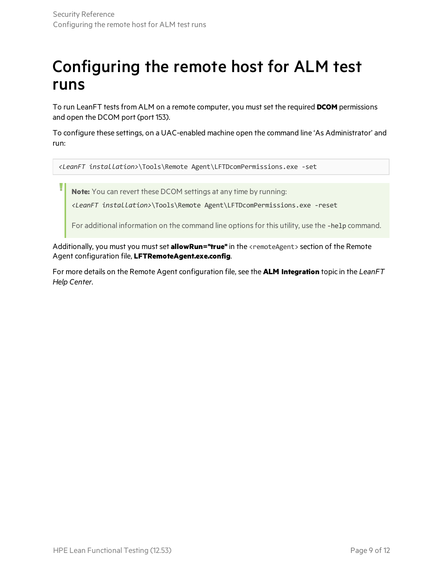## Configuring the remote host for ALM test runs

To run LeanFT tests from ALM on a remote computer, you must set the required **DCOM** permissions and open the DCOM port (port 153).

To configure these settings, on a UAC-enabled machine open the command line 'As Administrator' and run:

*<LeanFT installation>*\Tools\Remote Agent\LFTDcomPermissions.exe -set

**Note:** You can revert these DCOM settings at any time by running:

*<LeanFT installation>*\Tools\Remote Agent\LFTDcomPermissions.exe -reset

For additional information on the command line options for this utility, use the -help command.

Additionally, you must you must set **allowRun="true"** in the <remoteAgent> section of the Remote Agent configuration file, **LFTRemoteAgent.exe.config**.

For more details on the Remote Agent configuration file, see the **ALM Integration** topic in the *LeanFT Help Center*.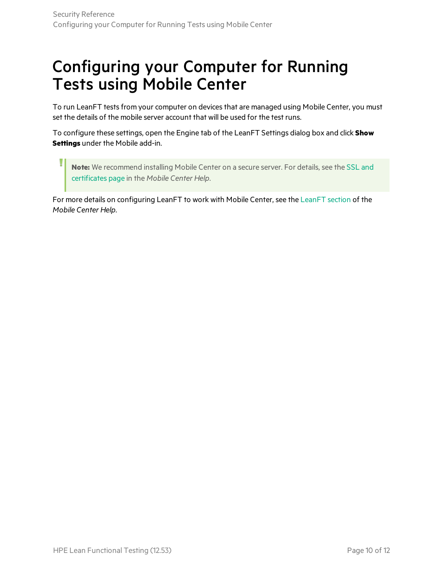## Configuring your Computer for Running Tests using Mobile Center

To run LeanFT tests from your computer on devices that are managed using Mobile Center, you must set the details of the mobile server account that will be used for the test runs.

To configure these settings, open the Engine tab of the LeanFT Settings dialog box and click **Show Settings** under the Mobile add-in.

**Note:** We recommend installing Mobile Center on a secure server. For details, see the [SSL](http://mobilecenter.hpe.com/docs/en/2.00/Content/LFT-MC/LFT_MC_SSL.htm) and [certificates](http://mobilecenter.hpe.com/docs/en/2.00/Content/LFT-MC/LFT_MC_SSL.htm) page in the *Mobile Center Help*.

For more details on configuring LeanFT to work with Mobile Center, see the [LeanFT](http://mobilecenter.hpe.com/docs/en/2.00/Content/LFT-MC/LFT_MC_Intro.htm) section of the *Mobile Center Help*.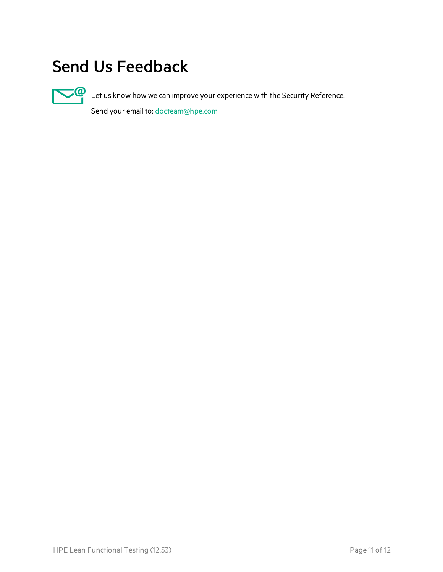## Send Us Feedback



Let us know how we can improve your experience with the Security Reference.

Send your email to: [docteam@hpe.com](mailto:docteam@hpe.com?subject=Feedback on Security Reference (Lean Functional Testing 12.53))